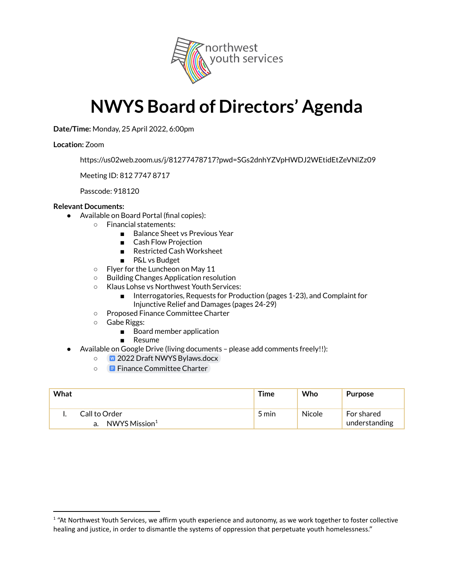

## **NWYS Board of Directors' Agenda**

**Date/Time:** Monday, 25 April 2022, 6:00pm

## **Location:** Zoom

https://us02web.zoom.us/j/81277478717?pwd=SGs2dnhYZVpHWDJ2WEtidEtZeVNlZz09

Meeting ID: 812 7747 8717

Passcode: 918120

## **Relevant Documents:**

- Available on Board Portal (final copies):
	- Financial statements:
		- Balance Sheet vs Previous Year
		- Cash Flow Projection
		- Restricted Cash Worksheet
		- P&L vs Budget
		- Flyer for the Luncheon on May 11
		- Building Changes Application resolution
		- Klaus Lohse vs Northwest Youth Services:
			- Interrogatories, Requests for Production (pages 1-23), and Complaint for Injunctive Relief and Damages (pages 24-29)
		- Proposed Finance Committee Charter
		- Gabe Riggs:
			- Board member application
			- Resume
- Available on Google Drive (living documents please add comments freely!!):
	- 2022 Draft NWYS [Bylaws.docx](https://docs.google.com/document/d/1dF6sC7SKp6C7jH_JcAxeo9QyF-K6rP86/edit)
	- **E** Finance [Committee](https://docs.google.com/document/d/17mpSOuY3X_2oeg8gKBmFIRpsew0IGs2bz6Gi_WRF3Q8/edit#) Charter

| What |                                            | Time  | Who    | <b>Purpose</b>              |
|------|--------------------------------------------|-------|--------|-----------------------------|
|      | Call to Order<br>NWYS Mission <sup>1</sup> | 5 min | Nicole | For shared<br>understanding |

 $1$  "At Northwest Youth Services, we affirm youth experience and autonomy, as we work together to foster collective healing and justice, in order to dismantle the systems of oppression that perpetuate youth homelessness."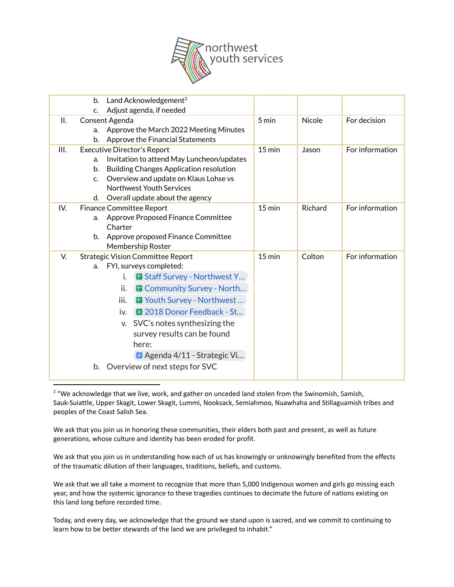

|      | b.          | Land Acknowledgement <sup>2</sup>              |                  |               |                 |
|------|-------------|------------------------------------------------|------------------|---------------|-----------------|
|      | c.          | Adjust agenda, if needed                       |                  |               |                 |
| Н.   |             | Consent Agenda                                 | 5 min            | <b>Nicole</b> | For decision    |
|      | a.          | Approve the March 2022 Meeting Minutes         |                  |               |                 |
|      | b.          | Approve the Financial Statements               |                  |               |                 |
| III. |             | <b>Executive Director's Report</b>             | $15 \text{ min}$ | Jason         | For information |
|      | a.          | Invitation to attend May Luncheon/updates      |                  |               |                 |
|      | b.          | <b>Building Changes Application resolution</b> |                  |               |                 |
|      | $C_{\cdot}$ | Overview and update on Klaus Lohse vs          |                  |               |                 |
|      |             | <b>Northwest Youth Services</b>                |                  |               |                 |
|      | d.          | Overall update about the agency                |                  |               |                 |
| IV.  |             | <b>Finance Committee Report</b>                | $15 \text{ min}$ | Richard       | For information |
|      | a.          | Approve Proposed Finance Committee             |                  |               |                 |
|      |             | Charter                                        |                  |               |                 |
|      | b.          | Approve proposed Finance Committee             |                  |               |                 |
|      |             | Membership Roster                              |                  |               |                 |
| V.   |             | <b>Strategic Vision Committee Report</b>       | $15$ min         | Colton        | For information |
|      | a.          | FYI, surveys completed:                        |                  |               |                 |
|      |             | <b>B</b> Staff Survey - Northwest Y<br>i.      |                  |               |                 |
|      |             | ii.<br><b>B</b> Community Survey - North       |                  |               |                 |
|      |             | <b>T</b> Youth Survey - Northwest<br>iii.      |                  |               |                 |
|      |             | 2018 Donor Feedback - St<br>iv.                |                  |               |                 |
|      |             | v. SVC's notes synthesizing the                |                  |               |                 |
|      |             | survey results can be found                    |                  |               |                 |
|      |             | here:                                          |                  |               |                 |
|      |             |                                                |                  |               |                 |
|      |             | <b>E</b> Agenda 4/11 - Strategic Vi            |                  |               |                 |
|      | b.          | Overview of next steps for SVC                 |                  |               |                 |
|      |             |                                                |                  |               |                 |

 $2$  "We acknowledge that we live, work, and gather on unceded land stolen from the Swinomish, Samish, Sauk-Suiattle, Upper Skagit, Lower Skagit, Lummi, Nooksack, Semiahmoo, Nuawhaha and Stillaguamish tribes and peoples of the Coast Salish Sea.

We ask that you join us in honoring these communities, their elders both past and present, as well as future generations, whose culture and identity has been eroded for profit.

We ask that you join us in understanding how each of us has knowingly or unknowingly benefited from the effects of the traumatic dilution of their languages, traditions, beliefs, and customs.

We ask that we all take a moment to recognize that more than 5,000 Indigenous women and girls go missing each year, and how the systemic ignorance to these tragedies continues to decimate the future of nations existing on this land long before recorded time.

Today, and every day, we acknowledge that the ground we stand upon is sacred, and we commit to continuing to learn how to be better stewards of the land we are privileged to inhabit."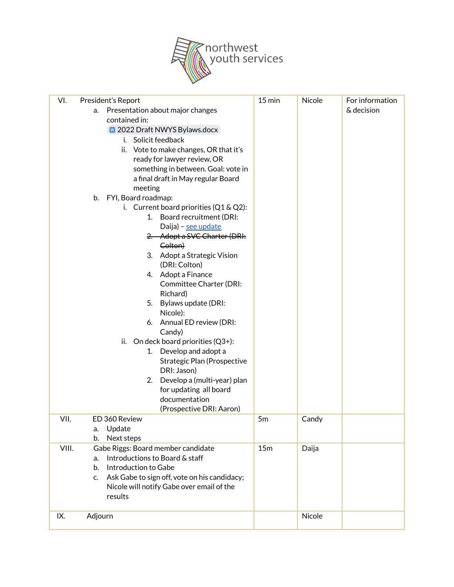

| VI.   | President's Report                                 | $15 \text{ min}$ | Nicole | For information |
|-------|----------------------------------------------------|------------------|--------|-----------------|
|       | Presentation about major changes<br>a.             |                  |        | & decision      |
|       | contained in:                                      |                  |        |                 |
|       | 2022 Draft NWYS Bylaws.docx                        |                  |        |                 |
|       | Solicit feedback<br>i.                             |                  |        |                 |
|       | ii. Vote to make changes, OR that it's             |                  |        |                 |
|       | ready for lawyer review, OR                        |                  |        |                 |
|       | something in between. Goal: vote in                |                  |        |                 |
|       | a final draft in May regular Board                 |                  |        |                 |
|       | meeting                                            |                  |        |                 |
|       | b. FYI, Board roadmap:                             |                  |        |                 |
|       | i. Current board priorities $(Q1 & Q2)$ :          |                  |        |                 |
|       | Board recruitment (DRI:<br>1 <sup>1</sup>          |                  |        |                 |
|       | Daija) - see update                                |                  |        |                 |
|       | 2. Adopt a SVC Charter (DRI:                       |                  |        |                 |
|       | Colton)                                            |                  |        |                 |
|       | 3. Adopt a Strategic Vision                        |                  |        |                 |
|       | (DRI: Colton)                                      |                  |        |                 |
|       | 4. Adopt a Finance                                 |                  |        |                 |
|       | <b>Committee Charter (DRI:</b>                     |                  |        |                 |
|       | Richard)                                           |                  |        |                 |
|       | 5. Bylaws update (DRI:                             |                  |        |                 |
|       | Nicole):                                           |                  |        |                 |
|       | 6. Annual ED review (DRI:                          |                  |        |                 |
|       | Candy)                                             |                  |        |                 |
|       | ii. On deck board priorities $(Q3+)$ :             |                  |        |                 |
|       | 1. Develop and adopt a                             |                  |        |                 |
|       | <b>Strategic Plan (Prospective</b>                 |                  |        |                 |
|       | DRI: Jason)                                        |                  |        |                 |
|       | 2. Develop a (multi-year) plan                     |                  |        |                 |
|       | for updating all board                             |                  |        |                 |
|       | documentation                                      |                  |        |                 |
|       | (Prospective DRI: Aaron)                           |                  |        |                 |
| VII.  | ED 360 Review                                      | 5m               | Candy  |                 |
|       | Update<br>a.                                       |                  |        |                 |
|       | Next steps<br>b.                                   |                  |        |                 |
| VIII. | Gabe Riggs: Board member candidate                 | 15m              | Daija  |                 |
|       | Introductions to Board & staff<br>a.               |                  |        |                 |
|       | Introduction to Gabe<br>b.                         |                  |        |                 |
|       | Ask Gabe to sign off, vote on his candidacy;<br>c. |                  |        |                 |
|       | Nicole will notify Gabe over email of the          |                  |        |                 |
|       | results                                            |                  |        |                 |
|       |                                                    |                  |        |                 |
| IX.   | Adjourn                                            |                  | Nicole |                 |
|       |                                                    |                  |        |                 |